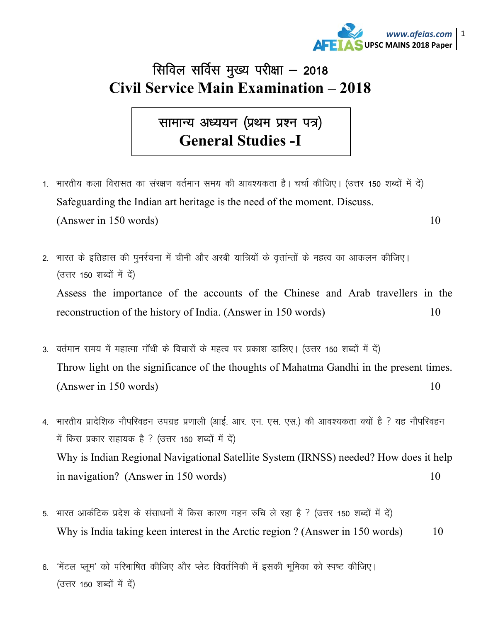

## सिविल सर्विस मुख्य परीक्षा  $-$  2018 **Civil Service Main Examination – 2018**

सामान्य अध्ययन (प्रथम प्रश्न पत्र) **General Studies -I** 

- 1. भारतीय कला विरासत का संरक्षण वर्तमान समय की आवश्यकता है। चर्चा कीजिए। (उत्तर 150 शब्दों में दें) Safeguarding the Indian art heritage is the need of the moment. Discuss.  $(Answer in 150 words)$  10
- 2. भारत के इतिहास की पुनर्रचना में चीनी और अरबी यात्रियों के वृत्तांन्तों के महत्व का आकलन कीजिए। (उत्तर 150 शब्दों में दें) Assess the importance of the accounts of the Chinese and Arab travellers in the reconstruction of the history of India. (Answer in 150 words) 10
- 3. वर्तमान समय में महात्मा गाँधी के विचारों के महत्व पर प्रकाश डालिए। (उत्तर 150 शब्दों में दें) Throw light on the significance of the thoughts of Mahatma Gandhi in the present times.  $(Answer in 150 words)$  10
- 4. भारतीय प्रादेशिक नौपरिवहन उपग्रह प्रणाली (आई. आर. एन. एस. एस.) की आवश्यकता क्यों है ? यह नौपरिवहन में किस प्रकार सहायक है ? (उत्तर 150 शब्दों में दें) Why is Indian Regional Navigational Satellite System (IRNSS) needed? How does it help in navigation? (Answer in 150 words) 10
- 5. भारत आर्कटिक प्रदेश के संसाधनों में किस कारण गहन रुचि ले रहा है ? (उत्तर 150 शब्दों में दें) Why is India taking keen interest in the Arctic region ? (Answer in 150 words) 10
- 6. 'मेंटल प्लूम' को परिभाषित कीजिए और प्लेट विवर्तनिकी में इसकी भूमिका को स्पष्ट कीजिए। (उत्तर 150 शब्दों में दें)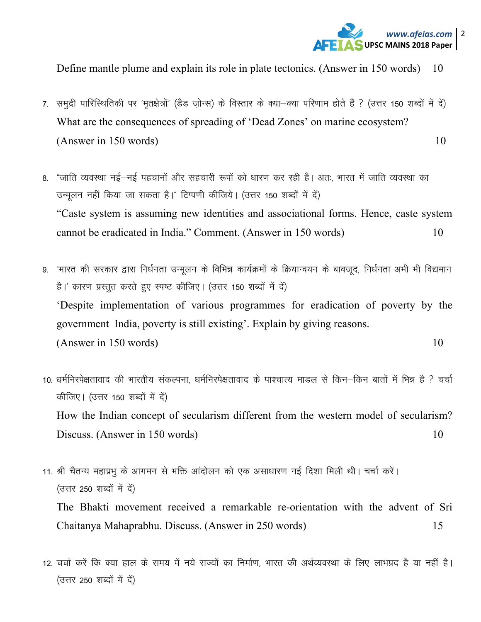

Define mantle plume and explain its role in plate tectonics. (Answer in 150 words) 10

- 7. समुद्री पारिस्थितिकी पर 'मृतक्षेत्रों' (डैड जोन्स) के विस्तार के क्या-क्या परिणाम होते हैं ? (उत्तर 150 शब्दों में दें) What are the consequences of spreading of 'Dead Zones' on marine ecosystem?  $(Answer in 150 words)$  10
- 8. "जाति व्यवस्था नई—नई पहचानों और सहचारी रूपों को धारण कर रही है। अतः, भारत में जाति व्यवस्था का उन्मुलन नहीं किया जा सकता है।" टिप्पणी कीजिये। (उत्तर 150 शब्दों में दें) "Caste system is assuming new identities and associational forms. Hence, caste system cannot be eradicated in India." Comment. (Answer in 150 words) 10
- 9. 'भारत की सरकार द्वारा निर्धनता उन्मुलन के विभिन्न कार्यक्रमों के क्रियान्वयन के बावजूद, निर्धनता अभी भी विद्यमान है।' कारण प्रस्तुत करते हुए स्पष्ट कीजिए। (उत्तर 150 शब्दों में दें) 'Despite implementation of various programmes for eradication of poverty by the government India, poverty is still existing'. Explain by giving reasons. (Answer in 150 words) 10
- 10. धर्मनिरपेक्षतावाद की भारतीय संकल्पना, धर्मनिरपेक्षतावाद के पाश्चात्य माडल से किन–किन बातों में भिन्न है ? चर्चा कीजिए। (उत्तर 150 शब्दों में दें) How the Indian concept of secularism different from the western model of secularism? Discuss. (Answer in 150 words) 10
- 11. श्री चैतन्य महाप्रभू के आगमन से भक्ति आंदोलन को एक असाधारण नई दिशा मिली थी। चर्चा करें। (उत्तर 250 शब्दों में दें) The Bhakti movement received a remarkable re-orientation with the advent of Sri Chaitanya Mahaprabhu. Discuss. (Answer in 250 words) 15
- 12. चर्चा करें कि क्या हाल के समय में नये राज्यों का निर्माण, भारत की अर्थव्यवस्था के लिए लाभप्रद है या नहीं है। (उत्तर 250 शब्दों में दें)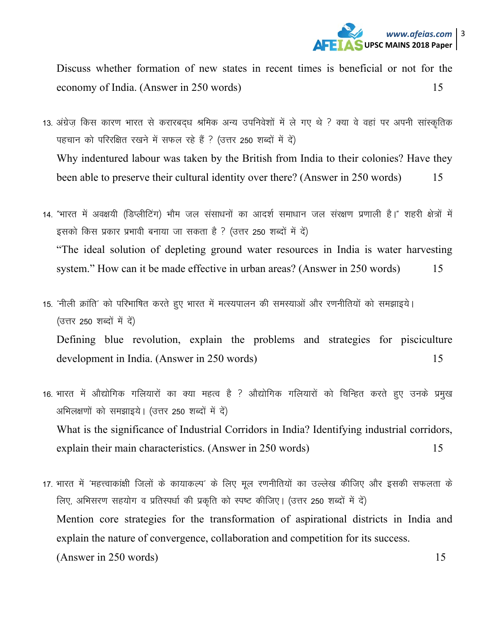

Discuss whether formation of new states in recent times is beneficial or not for the economy of India. (Answer in 250 words) 15

- 13. अंग्रेज किस कारण भारत से करारबदध श्रमिक अन्य उपनिवेशों में ले गए थे ? क्या वे वहां पर अपनी सांस्कृतिक पहचान को परिरक्षित रखने में सफल रहे हैं ? (उत्तर 250 शब्दों में दें) Why indentured labour was taken by the British from India to their colonies? Have they been able to preserve their cultural identity over there? (Answer in 250 words) 15
- 14. "भारत में अवक्षयी (डिप्लीटिंग) भौम जल संसाधनों का आदर्श समाधान जल संरक्षण प्रणाली है।" शहरी क्षेत्रों में इसको किस प्रकार प्रभावी बनाया जा सकता है ? (उत्तर 250 शब्दों में दें) "The ideal solution of depleting ground water resources in India is water harvesting system." How can it be made effective in urban areas? (Answer in 250 words) 15
- 15. 'नीली क्रांति' को परिभाषित करते हुए भारत में मत्स्यपालन की समस्याओं और रणनीतियों को समझाइये। (उत्तर 250 शब्दों में दें) Defining blue revolution, explain the problems and strategies for pisciculture development in India. (Answer in 250 words) 15
- 16. भारत में ओद्योगिक गलियारों का क्या महत्व है ? ओद्योगिक गलियारों को चिन्हित करते हुए उनके प्रमुख अभिलक्षणों को समझाइये। (उत्तर 250 शब्दों में दें) What is the significance of Industrial Corridors in India? Identifying industrial corridors, explain their main characteristics. (Answer in 250 words) 15
- 17. भारत में 'महत्त्वाकांक्षी जिलों के कायाकल्प' के लिए मूल रणनीतियों का उल्लेख कीजिए और इसकी सफलता के लिए, अभिसरण सहयोग व प्रतिस्पर्धा की प्रकृति को स्पष्ट कीजिए। (उत्तर 250 शब्दों में दें) Mention core strategies for the transformation of aspirational districts in India and explain the nature of convergence, collaboration and competition for its success. (Answer in 250 words) 15